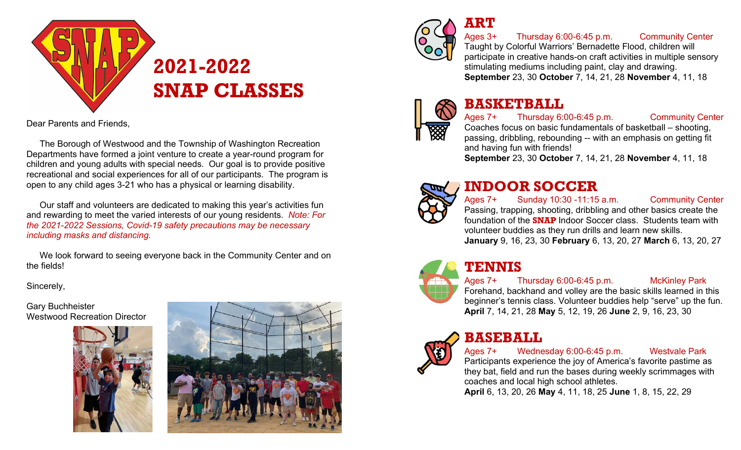

Dear Parents and Friends,

The Borough of Westwood and the Township of Washington Recreation Departments have formed a joint venture to create a year-round program for children and young adults with special needs. Our goal is to provide positive recreational and social experiences for all of our participants. The program is open to any child ages 3-21 who has a physical or learning disability.

Our staff and volunteers are dedicated to making this year's activities fun and rewarding to meet the varied interests of our young residents. *Note: For the 2021-2022 Sessions, Covid-19 safety precautions may be necessary including masks and distancing.* 

We look forward to seeing everyone back in the Community Center and on the fields!

Sincerely,

Gary Buchheister Westwood Recreation Director







### **ART**

Ages 3+ Thursday 6:00-6:45 p.m. Community Center

Taught by Colorful Warriors' Bernadette Flood, children will participate in creative hands-on craft activities in multiple sensory stimulating mediums including paint, clay and drawing. **September** 23, 30 **October** 7, 14, 21, 28 **November** 4, 11, 18

# **BASKETBALL**

Ages 7+ Thursday 6:00-6:45 p.m. Community Center Coaches focus on basic fundamentals of basketball – shooting, passing, dribbling, rebounding -- with an emphasis on getting fit and having fun with friends! **September** 23, 30 **October** 7, 14, 21, 28 **November** 4, 11, 18



### **INDOOR SOCCER**

Ages 7+ Sunday 10:30 -11:15 a.m. Community Center Passing, trapping, shooting, dribbling and other basics create the foundation of the **SNAP** Indoor Soccer class. Students team with volunteer buddies as they run drills and learn new skills. **January** 9, 16, 23, 30 **February** 6, 13, 20, 27 **March** 6, 13, 20, 27



# **TENNIS**

### Ages 7+ Thursday 6:00-6:45 p.m. McKinley Park

Forehand, backhand and volley are the basic skills learned in this beginner's tennis class. Volunteer buddies help "serve" up the fun. **April** 7, 14, 21, 28 **May** 5, 12, 19, 26 **June** 2, 9, 16, 23, 30



### **BASEBALL**

Ages 7+ Wednesday 6:00-6:45 p.m. Westvale Park Participants experience the joy of America's favorite pastime as they bat, field and run the bases during weekly scrimmages with coaches and local high school athletes.

**April** 6, 13, 20, 26 **May** 4, 11, 18, 25 **June** 1, 8, 15, 22, 29